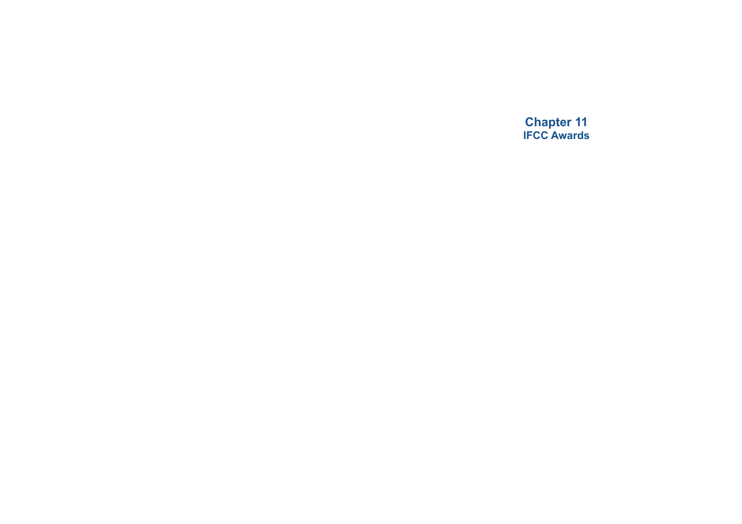**Chapter 11 IFCC Awards**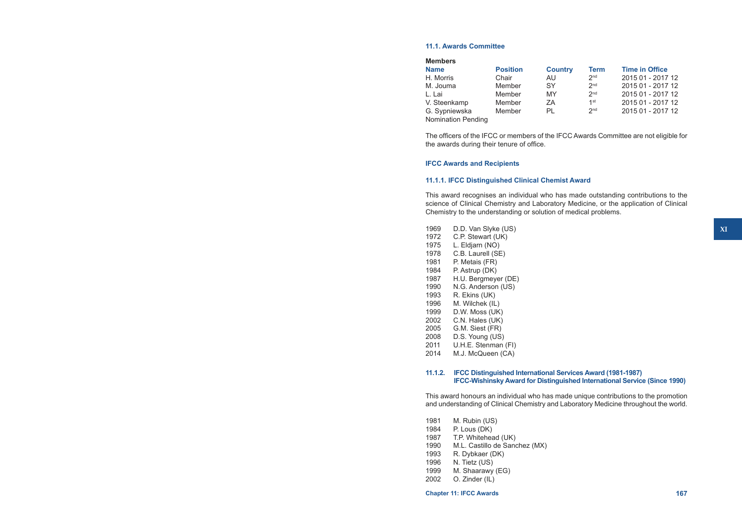# **11.1. Awards Committee**

| <b>Members</b>            |                 |                |                 |                       |
|---------------------------|-----------------|----------------|-----------------|-----------------------|
| <b>Name</b>               | <b>Position</b> | <b>Country</b> | <b>Term</b>     | <b>Time in Office</b> |
| H. Morris                 | Chair           | AU.            | 2 <sub>nd</sub> | 2015 01 - 2017 12     |
| M. Jouma                  | Member          | SY             | 2 <sub>nd</sub> | 2015 01 - 2017 12     |
| L. Lai                    | Member          | MY             | 2 <sub>nd</sub> | 2015 01 - 2017 12     |
| V. Steenkamp              | Member          | ΖA             | 1 <sup>st</sup> | 2015 01 - 2017 12     |
| G. Sypniewska             | Member          | PL             | 2 <sub>nd</sub> | 2015 01 - 2017 12     |
| <b>Nomination Pending</b> |                 |                |                 |                       |

The officers of the IFCC or members of the IFCC Awards Committee are not eligible for the awards during their tenure of office.

# **IFCC Awards and Recipients**

## **11.1.1. IFCC Distinguished Clinical Chemist Award**

This award recognises an individual who has made outstanding contributions to the science of Clinical Chemistry and Laboratory Medicine, or the application of Clinical Chemistry to the understanding or solution of medical problems.

- 1969 D.D. Van Slyke (US)
- 1972 C.P. Stewart (UK)
- 1975 L. Eldjarn (NO)
- 1978 C.B. Laurell (SE)<br>1981 P. Metais (FR)
- P. Metais (FR)
- 1984 P. Astrup (DK)<br>1987 H.U. Bergmeye
- 1987 H.U. Bergmeyer (DE)<br>1990 N.G. Anderson (US)
- N.G. Anderson (US)
- 1993 R. Ekins (UK)<br>1996 M. Wilchek (IL
- M. Wilchek (IL)
- 1999 D.W. Moss (UK)
- 2002 C.N. Hales (UK)
- 2005 G.M. Siest (FR)
- 2008 D.S. Young (US)<br>2011 U.H.E. Stenman
- U.H.E. Stenman (FI)
- 2014 M.J. McQueen (CA)

## **11.1.2. IFCC Distinguished International Services Award (1981-1987) IFCC-Wishinsky Award for Distinguished International Service (Since 1990)**

This award honours an individual who has made unique contributions to the promotion and understanding of Clinical Chemistry and Laboratory Medicine throughout the world.

- 1981 M. Rubin (US)<br>1984 P. Lous (DK)
- 
- 1984 P. Lous (DK)<br>1987 T.P. Whitehea T.P. Whitehead (UK)
- 1990 M.L. Castillo de Sanchez (MX)<br>1993 R. Dybkaer (DK)
- R. Dybkaer (DK)
- 1996 N. Tietz (US)
- 1999 M. Shaarawy (EG)
- 2002 O. Zinder (IL)

**Chapter 11: IFCC Awards 167**